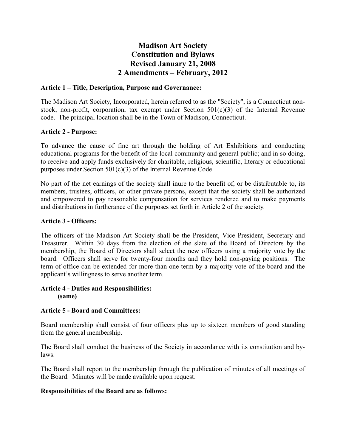# **Madison Art Society Constitution and Bylaws Revised January 21, 2008 2 Amendments – February, 2012**

# **Article 1 – Title, Description, Purpose and Governance:**

The Madison Art Society, Incorporated, herein referred to as the "Society", is a Connecticut nonstock, non-profit, corporation, tax exempt under Section  $501(c)(3)$  of the Internal Revenue code. The principal location shall be in the Town of Madison, Connecticut.

# **Article 2 - Purpose:**

To advance the cause of fine art through the holding of Art Exhibitions and conducting educational programs for the benefit of the local community and general public; and in so doing, to receive and apply funds exclusively for charitable, religious, scientific, literary or educational purposes under Section 501(c)(3) of the Internal Revenue Code.

No part of the net earnings of the society shall inure to the benefit of, or be distributable to, its members, trustees, officers, or other private persons, except that the society shall be authorized and empowered to pay reasonable compensation for services rendered and to make payments and distributions in furtherance of the purposes set forth in Article 2 of the society.

### **Article 3 - Officers:**

The officers of the Madison Art Society shall be the President, Vice President, Secretary and Treasurer. Within 30 days from the election of the slate of the Board of Directors by the membership, the Board of Directors shall select the new officers using a majority vote by the board. Officers shall serve for twenty-four months and they hold non-paying positions. The term of office can be extended for more than one term by a majority vote of the board and the applicant's willingness to serve another term.

#### **Article 4 - Duties and Responsibilities: (same)**

# **Article 5 - Board and Committees:**

Board membership shall consist of four officers plus up to sixteen members of good standing from the general membership.

The Board shall conduct the business of the Society in accordance with its constitution and bylaws.

The Board shall report to the membership through the publication of minutes of all meetings of the Board. Minutes will be made available upon request*.*

### **Responsibilities of the Board are as follows:**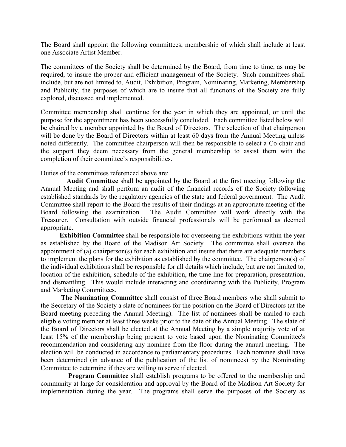The Board shall appoint the following committees, membership of which shall include at least one Associate Artist Member.

The committees of the Society shall be determined by the Board, from time to time, as may be required, to insure the proper and efficient management of the Society. Such committees shall include, but are not limited to, Audit, Exhibition, Program, Nominating, Marketing, Membership and Publicity, the purposes of which are to insure that all functions of the Society are fully explored, discussed and implemented.

Committee membership shall continue for the year in which they are appointed, or until the purpose for the appointment has been successfully concluded. Each committee listed below will be chaired by a member appointed by the Board of Directors. The selection of that chairperson will be done by the Board of Directors within at least 60 days from the Annual Meeting unless noted differently. The committee chairperson will then be responsible to select a Co-chair and the support they deem necessary from the general membership to assist them with the completion of their committee's responsibilities.

Duties of the committees referenced above are:

**Audit Committee** shall be appointed by the Board at the first meeting following the Annual Meeting and shall perform an audit of the financial records of the Society following established standards by the regulatory agencies of the state and federal government. The Audit Committee shall report to the Board the results of their findings at an appropriate meeting of the Board following the examination. The Audit Committee will work directly with the Treasurer. Consultation with outside financial professionals will be performed as deemed appropriate.

**Exhibition Committee** shall be responsible for overseeing the exhibitions within the year as established by the Board of the Madison Art Society. The committee shall oversee the appointment of (a) chairperson(s) for each exhibition and insure that there are adequate members to implement the plans for the exhibition as established by the committee. The chairperson(s) of the individual exhibitions shall be responsible for all details which include, but are not limited to, location of the exhibition, schedule of the exhibition, the time line for preparation, presentation, and dismantling. This would include interacting and coordinating with the Publicity, Program and Marketing Committees.

**The Nominating Committee** shall consist of three Board members who shall submit to the Secretary of the Society a slate of nominees for the position on the Board of Directors (at the Board meeting preceding the Annual Meeting). The list of nominees shall be mailed to each eligible voting member at least three weeks prior to the date of the Annual Meeting. The slate of the Board of Directors shall be elected at the Annual Meeting by a simple majority vote of at least 15% of the membership being present to vote based upon the Nominating Committee's recommendation and considering any nominee from the floor during the annual meeting. The election will be conducted in accordance to parliamentary procedures. Each nominee shall have been determined (in advance of the publication of the list of nominees) by the Nominating Committee to determine if they are willing to serve if elected.

**Program Committee** shall establish programs to be offered to the membership and community at large for consideration and approval by the Board of the Madison Art Society for implementation during the year. The programs shall serve the purposes of the Society as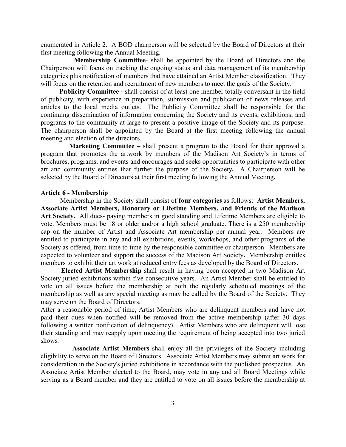enumerated in Article 2. A BOD chairperson will be selected by the Board of Directors at their first meeting following the Annual Meeting.

**Membership Committee***-* shall be appointed by the Board of Directors and the Chairperson will focus on tracking the ongoing status and data management of its membership categories plus notification of members that have attained an Artist Member classification. They will focus on the retention and recruitment of new members to meet the goals of the Society*.*

**Publicity Committee -** shall consist of at least one member totally conversant in the field of publicity, with experience in preparation, submission and publication of news releases and articles to the local media outlets. The Publicity Committee shall be responsible for the continuing dissemination of information concerning the Society and its events, exhibitions, and programs to the community at large to present a positive image of the Society and its purpose. The chairperson shall be appointed by the Board at the first meeting following the annual meeting and election of the directors.

**Marketing Committee –** shall present a program to the Board for their approval a program that promotes the artwork by members of the Madison Art Society's in terms of brochures, programs, and events and encourages and seeks opportunities to participate with other art and community entities that further the purpose of the Society**.** A Chairperson will be selected by the Board of Directors at their first meeting following the Annual Meeting**.**

#### **Article 6 - Membership**

Membership in the Society shall consist of **four categories** as follows: **Artist Members, Associate Artist Members, Honorary or Lifetime Members, and Friends of the Madison Art Society.** All dues- paying members in good standing and Lifetime Members are eligible to vote. Members must be 18 or older and/or a high school graduate. There is a 250 membership cap on the number of Artist and Associate Art membership per annual year. Members are entitled to participate in any and all exhibitions, events, workshops, and other programs of the Society as offered, from time to time by the responsible committee or chairperson. Members are expected to volunteer and support the success of the Madison Art Society**.** Membership entitles members to exhibit their art work at reduced entry fees as developed by the Board of Directors**.** 

**Elected Artist Membership** shall result in having been accepted in two Madison Art Society juried exhibitions within five consecutive years. An Artist Member shall be entitled to vote on all issues before the membership at both the regularly scheduled meetings of the membership as well as any special meeting as may be called by the Board of the Society. They may serve on the Board of Directors.

After a reasonable period of time, Artist Members who are delinquent members and have not paid their dues when notified will be removed from the active membership (after 30 days following a written notification of delinquency). Artist Members who are delinquent will lose their standing and may reapply upon meeting the requirement of being accepted into two juried shows*.*

**Associate Artist Members** shall enjoy all the privileges of the Society including eligibility to serve on the Board of Directors. Associate Artist Members may submit art work for consideration in the Society's juried exhibitions in accordance with the published prospectus. An Associate Artist Member elected to the Board, may vote in any and all Board Meetings while serving as a Board member and they are entitled to vote on all issues before the membership at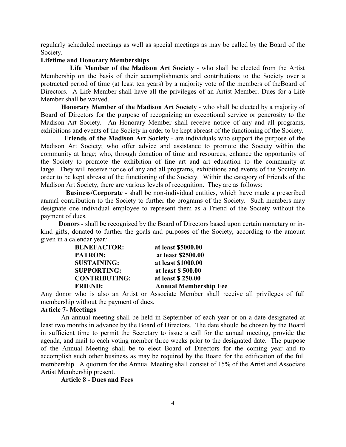regularly scheduled meetings as well as special meetings as may be called by the Board of the Society.

### **Lifetime and Honorary Memberships**

**Life Member of the Madison Art Society** *-* who shall be elected from the Artist Membership on the basis of their accomplishments and contributions to the Society over a protracted period of time (at least ten years) by a majority vote of the members of theBoard of Directors. A Life Member shall have all the privileges of an Artist Member. Dues for a Life Member shall be waived.

**Honorary Member of the Madison Art Society** *-* who shall be elected by a majority of Board of Directors for the purpose of recognizing an exceptional service or generosity to the Madison Art Society. An Honorary Member shall receive notice of any and all programs, exhibitions and events of the Society in order to be kept abreast of the functioning of the Society.

**Friends of the Madison Art Society** - are individuals who support the purpose of the Madison Art Society; who offer advice and assistance to promote the Society within the community at large; who, through donation of time and resources, enhance the opportunity of the Society to promote the exhibition of fine art and art education to the community at large. They will receive notice of any and all programs, exhibitions and events of the Society in order to be kept abreast of the functioning of the Society. Within the category of Friends of the Madison Art Society, there are various levels of recognition. They are as follows:

**Business/Corporate** - shall be non-individual entities, which have made a prescribed annual contribution to the Society to further the programs of the Society. Such members may designate one individual employee to represent them as a Friend of the Society without the payment of dues*.*

**Donors** *-* shall be recognized by the Board of Directors based upon certain monetary or inkind gifts, donated to further the goals and purposes of the Society, according to the amount given in a calendar year*:*

| <b>BENEFACTOR:</b>   | at least \$5000.00           |
|----------------------|------------------------------|
| <b>PATRON:</b>       | at least \$2500.00           |
| <b>SUSTAINING:</b>   | at least \$1000.00           |
| <b>SUPPORTING:</b>   | at least \$500.00            |
| <b>CONTRIBUTING:</b> | at least \$250.00            |
| <b>FRIEND:</b>       | <b>Annual Membership Fee</b> |

Any donor who is also an Artist or Associate Member shall receive all privileges of full membership without the payment of dues.

#### **Article 7- Meetings**

An annual meeting shall be held in September of each year or on a date designated at least two months in advance by the Board of Directors. The date should be chosen by the Board in sufficient time to permit the Secretary to issue a call for the annual meeting, provide the agenda, and mail to each voting member three weeks prior to the designated date. The purpose of the Annual Meeting shall be to elect Board of Directors for the coming year and to accomplish such other business as may be required by the Board for the edification of the full membership. A quorum for the Annual Meeting shall consist of 15% of the Artist and Associate Artist Membership present.

**Article 8 - Dues and Fees**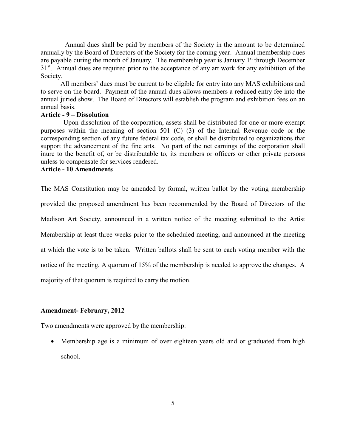Annual dues shall be paid by members of the Society in the amount to be determined annually by the Board of Directors of the Society for the coming year. Annual membership dues are payable during the month of January. The membership year is January 1<sup>st</sup> through December 31<sup>st</sup>. Annual dues are required prior to the acceptance of any art work for any exhibition of the Society.

All members' dues must be current to be eligible for entry into any MAS exhibitions and to serve on the board. Payment of the annual dues allows members a reduced entry fee into the annual juried show. The Board of Directors will establish the program and exhibition fees on an annual basis.

#### **Article - 9 – Dissolution**

Upon dissolution of the corporation, assets shall be distributed for one or more exempt purposes within the meaning of section 501 (C) (3) of the Internal Revenue code or the corresponding section of any future federal tax code, or shall be distributed to organizations that support the advancement of the fine arts. No part of the net earnings of the corporation shall inure to the benefit of, or be distributable to, its members or officers or other private persons unless to compensate for services rendered.

# **Article - 10 Amendments**

The MAS Constitution may be amended by formal, written ballot by the voting membership provided the proposed amendment has been recommended by the Board of Directors of the Madison Art Society, announced in a written notice of the meeting submitted to the Artist Membership at least three weeks prior to the scheduled meeting, and announced at the meeting at which the vote is to be taken. Written ballots shall be sent to each voting member with the notice of the meeting*.* A quorum of 15% of the membership is needed to approve the changes. A majority of that quorum is required to carry the motion.

#### **Amendment- February, 2012**

Two amendments were approved by the membership:

· Membership age is a minimum of over eighteen years old and or graduated from high school.